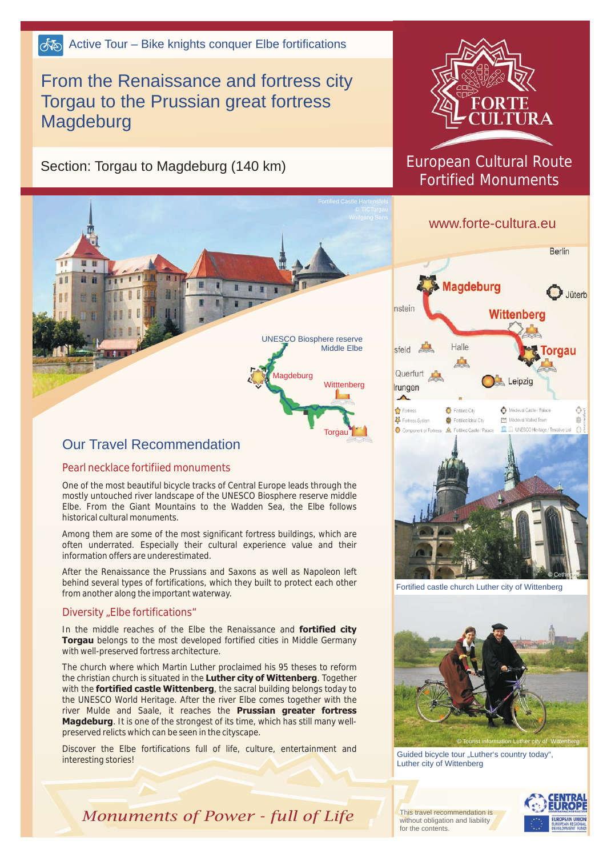# From the Renaissance and fortress city Torgau to the Prussian great fortress Magdeburg

Section: Torgau to Magdeburg (140 km)



### Our Travel Recommendation

#### Pearl necklace fortifiied monuments

One of the most beautiful bicycle tracks of Central Europe leads through the mostly untouched river landscape of the UNESCO Biosphere reserve middle Elbe. From the Giant Mountains to the Wadden Sea, the Elbe follows historical cultural monuments.

Among them are some of the most significant fortress buildings, which are often underrated. Especially their cultural experience value and their information offers are underestimated.

After the Renaissance the Prussians and Saxons as well as Napoleon left behind several types of fortifications, which they built to protect each other from another along the important waterway.

#### Diversity "Elbe fortifications"

In the middle reaches of the Elbe the Renaissance and **fortified city Torgau** belongs to the most developed fortified cities in Middle Germany with well-preserved fortress architecture.

The church where which Martin Luther proclaimed his 95 theses to reform the christian church is situated in the **Luther city of Wittenberg**. Together with the **fortified castle Wittenberg**, the sacral building belongs today to the UNESCO World Heritage. After the river Elbe comes together with the river Mulde and Saale, it reaches the **Prussian greater fortress Magdeburg**. It is one of the strongest of its time, which has still many wellpreserved relicts which can be seen in the cityscape.

Discover the Elbe fortifications full of life, culture, entertainment and interesting stories!



## European Cultural Route Fortified Monuments

## www.forte-cultura.eu



*©* Cethegus

Fortified castle church Luther city of Wittenberg



Guided bicycle tour "Luther's country today", Luther city of Wittenberg

This travel recommendation is without obligation and liability for the contents.



*Monuments of Power - full of Life*